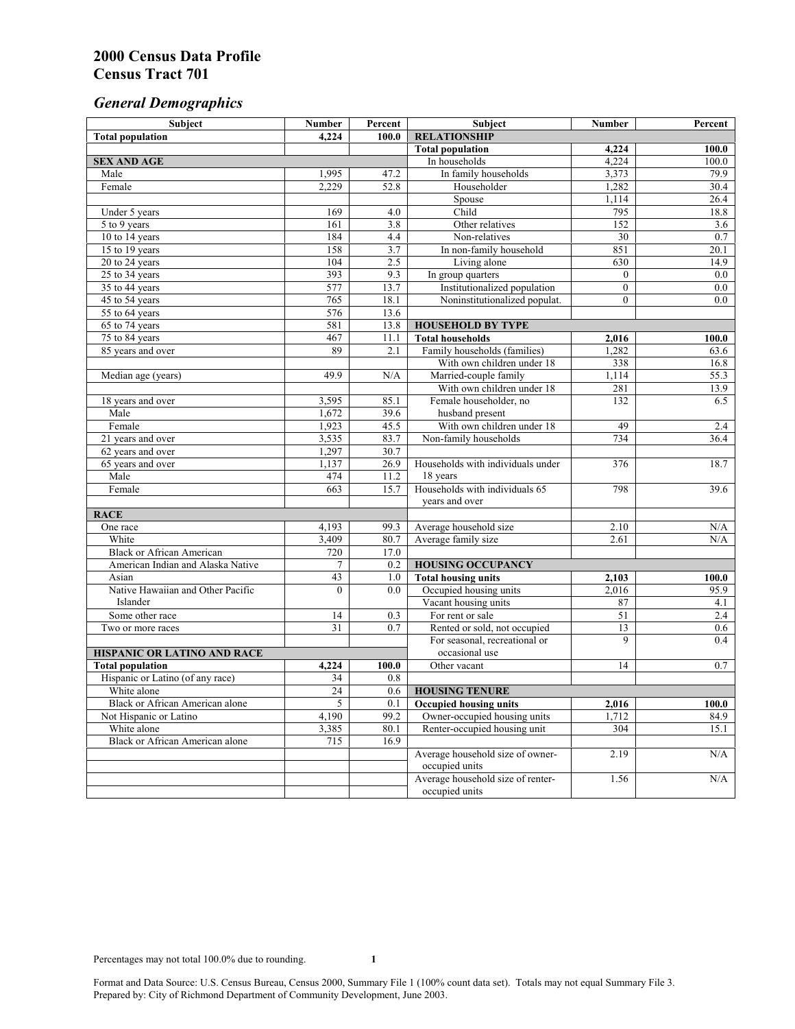# *General Demographics*

| Subject                            | <b>Number</b>   | Percent | Subject                                             | <b>Number</b>  | Percent            |
|------------------------------------|-----------------|---------|-----------------------------------------------------|----------------|--------------------|
| <b>Total population</b>            | 4,224           | 100.0   | <b>RELATIONSHIP</b>                                 |                |                    |
|                                    |                 |         | <b>Total population</b>                             | 4,224          | $\overline{100.0}$ |
| <b>SEX AND AGE</b>                 |                 |         | In households                                       | 4,224          | 100.0              |
| Male                               | 1,995           | 47.2    | In family households                                | 3,373          | 79.9               |
| Female                             | 2,229           | 52.8    | Householder                                         | 1,282          | 30.4               |
|                                    |                 |         | Spouse                                              | 1.114          | 26.4               |
| Under 5 years                      | 169             | 4.0     | Child                                               | 795            | 18.8               |
| 5 to 9 years                       | 161             | 3.8     | Other relatives                                     | 152            | 3.6                |
| 10 to 14 years                     | 184             | 4.4     | Non-relatives                                       | 30             | 0.7                |
| 15 to 19 years                     | 158             | 3.7     | In non-family household                             | 851            | 20.1               |
| 20 to 24 years                     | 104             | 2.5     | Living alone                                        | 630            | 14.9               |
| $25 \text{ to } 34$ years          | 393             | 9.3     | In group quarters                                   | $\overline{0}$ | 0.0                |
| 35 to 44 years                     | 577             | 13.7    | Institutionalized population                        | $\overline{0}$ | 0.0                |
| 45 to 54 years                     | 765             | 18.1    | Noninstitutionalized populat.                       | $\overline{0}$ | 0.0                |
| 55 to 64 years                     | 576             | 13.6    |                                                     |                |                    |
| 65 to 74 years                     | 581             | 13.8    | <b>HOUSEHOLD BY TYPE</b>                            |                |                    |
| 75 to 84 years                     | 467<br>89       | 11.1    | <b>Total households</b>                             | 2,016          | 100.0              |
| 85 years and over                  |                 | 2.1     | Family households (families)                        | 1,282          | 63.6               |
|                                    | 49.9            | N/A     | With own children under 18<br>Married-couple family | 338<br>1,114   | 16.8<br>55.3       |
| Median age (years)                 |                 |         | With own children under 18                          | 281            | 13.9               |
| 18 years and over                  | 3,595           | 85.1    | Female householder, no                              | 132            | 6.5                |
| Male                               | 1,672           | 39.6    | husband present                                     |                |                    |
| Female                             | 1,923           | 45.5    | With own children under 18                          | 49             | 2.4                |
| 21 years and over                  | 3,535           | 83.7    | Non-family households                               | 734            | 36.4               |
| 62 years and over                  | 1,297           | 30.7    |                                                     |                |                    |
| 65 years and over                  | 1,137           | 26.9    | Households with individuals under                   | 376            | 18.7               |
| Male                               | 474             | 11.2    | 18 years                                            |                |                    |
| Female                             | 663             | 15.7    | Households with individuals 65                      | 798            | 39.6               |
|                                    |                 |         | years and over                                      |                |                    |
| <b>RACE</b>                        |                 |         |                                                     |                |                    |
| One race                           | 4,193           | 99.3    | Average household size                              | 2.10           | $\rm N/A$          |
| White                              | 3,409           | 80.7    | Average family size                                 | 2.61           | N/A                |
| <b>Black or African American</b>   | 720             | 17.0    |                                                     |                |                    |
| American Indian and Alaska Native  | $\overline{7}$  | 0.2     | <b>HOUSING OCCUPANCY</b>                            |                |                    |
| Asian                              | 43              | 1.0     | <b>Total housing units</b>                          | 2,103          | 100.0              |
| Native Hawaiian and Other Pacific  | $\theta$        | 0.0     | Occupied housing units                              | 2,016          | 95.9               |
| Islander                           |                 |         | Vacant housing units                                | 87             | 4.1                |
| Some other race                    | 14              | 0.3     | For rent or sale                                    | 51             | 2.4                |
| Two or more races                  | $\overline{31}$ | 0.7     | Rented or sold, not occupied                        | 13             | 0.6                |
|                                    |                 |         | For seasonal, recreational or                       | 9              | 0.4                |
| <b>HISPANIC OR LATINO AND RACE</b> |                 |         | occasional use                                      |                |                    |
| <b>Total population</b>            | 4,224           | 100.0   | Other vacant                                        | 14             | 0.7                |
| Hispanic or Latino (of any race)   | 34              | 0.8     |                                                     |                |                    |
| White alone                        | $\overline{24}$ | 0.6     | <b>HOUSING TENURE</b>                               |                |                    |
| Black or African American alone    | 5               | 0.1     | <b>Occupied housing units</b>                       | 2,016          | 100.0              |
| Not Hispanic or Latino             | 4,190           | 99.2    | Owner-occupied housing units                        | 1,712          | 84.9               |
| White alone                        | 3,385           | 80.1    | Renter-occupied housing unit                        | 304            | 15.1               |
| Black or African American alone    | 715             | 16.9    |                                                     |                |                    |
|                                    |                 |         | Average household size of owner-                    | 2.19           | N/A                |
|                                    |                 |         | occupied units                                      |                |                    |
|                                    |                 |         | Average household size of renter-                   | 1.56           | N/A                |
|                                    |                 |         | occupied units                                      |                |                    |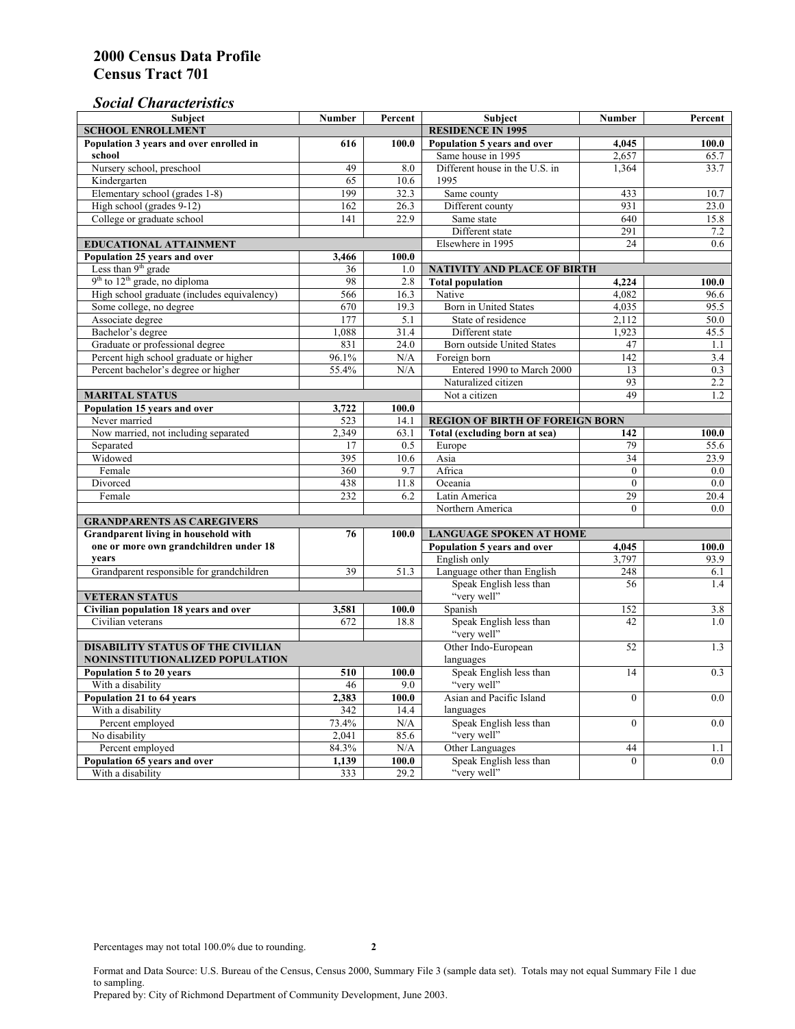### *Social Characteristics*

| <b>Subject</b>                                                              | <b>Number</b>            | Percent   | <b>Subject</b>                         | <b>Number</b>    | Percent          |
|-----------------------------------------------------------------------------|--------------------------|-----------|----------------------------------------|------------------|------------------|
| <b>SCHOOL ENROLLMENT</b>                                                    | <b>RESIDENCE IN 1995</b> |           |                                        |                  |                  |
| Population 3 years and over enrolled in                                     | 616                      | 100.0     | Population 5 years and over            | 4,045            | 100.0            |
| school                                                                      |                          |           | Same house in 1995                     | 2,657            | 65.7             |
| Nursery school, preschool                                                   | 49                       | 8.0       | Different house in the U.S. in         | 1,364            | 33.7             |
| Kindergarten                                                                | 65                       | 10.6      | 1995                                   |                  |                  |
| Elementary school (grades 1-8)                                              | 199                      | 32.3      | Same county                            | 433              | 10.7             |
| High school (grades 9-12)                                                   | 162                      | 26.3      | Different county                       | 931              | 23.0             |
| College or graduate school                                                  | 141                      | 22.9      | Same state                             | 640              | 15.8             |
|                                                                             |                          |           | Different state                        | 291              | 7.2              |
| EDUCATIONAL ATTAINMENT                                                      |                          |           | Elsewhere in 1995                      | 24               | 0.6              |
| Population 25 years and over                                                | 3,466                    | 100.0     |                                        |                  |                  |
| Less than 9 <sup>th</sup> grade                                             | 36                       | 1.0       | NATIVITY AND PLACE OF BIRTH            |                  |                  |
| $9th$ to $12th$ grade, no diploma                                           | 98                       | 2.8       | <b>Total population</b>                | 4,224            | 100.0            |
| High school graduate (includes equivalency)                                 | 566                      | 16.3      | Native                                 | 4.082            | 96.6             |
| Some college, no degree                                                     | 670                      | 19.3      | Born in United States                  | 4,035            | 95.5             |
| Associate degree                                                            | 177                      | 5.1       | State of residence                     | 2,112            | 50.0             |
| Bachelor's degree                                                           | 1,088                    | 31.4      | Different state                        | 1,923            | 45.5             |
| Graduate or professional degree                                             | 831                      | 24.0      | Born outside United States             | 47               | 1.1              |
| Percent high school graduate or higher                                      | 96.1%                    | N/A       | Foreign born                           | $\overline{142}$ | 3.4              |
| Percent bachelor's degree or higher                                         | 55.4%                    | N/A       | Entered 1990 to March 2000             | 13               | 0.3              |
|                                                                             |                          |           | Naturalized citizen                    | 93               | 2.2              |
| <b>MARITAL STATUS</b>                                                       | Not a citizen            | 49        | 1.2                                    |                  |                  |
| Population 15 years and over                                                | 3,722                    | 100.0     |                                        |                  |                  |
| Never married                                                               | 523                      | 14.1      | <b>REGION OF BIRTH OF FOREIGN BORN</b> |                  |                  |
| Now married, not including separated                                        | 2.349                    | 63.1      | Total (excluding born at sea)          | 142              | 100.0            |
| Separated                                                                   | 17                       | 0.5       | Europe                                 | 79               | 55.6             |
| Widowed                                                                     | 395                      | 10.6      | Asia                                   | 34               | 23.9             |
| Female                                                                      | 360                      | 9.7       | Africa                                 | $\theta$         | 0.0              |
| Divorced                                                                    | 438                      | 11.8      | Oceania                                | $\Omega$         | 0.0              |
| Female                                                                      | 232                      | 6.2       | Latin America                          | 29               | 20.4             |
|                                                                             |                          |           | Northern America                       | $\theta$         | 0.0              |
| <b>GRANDPARENTS AS CAREGIVERS</b>                                           |                          |           |                                        |                  |                  |
| Grandparent living in household with<br>76                                  |                          | 100.0     | <b>LANGUAGE SPOKEN AT HOME</b>         |                  |                  |
| one or more own grandchildren under 18                                      |                          |           | Population 5 years and over            | 4,045            | 100.0            |
| years                                                                       |                          |           | English only                           | 3,797            | 93.9             |
| Grandparent responsible for grandchildren                                   | 39                       | 51.3      | Language other than English            | 248              | 6.1              |
|                                                                             |                          |           | Speak English less than<br>"very well" | 56               | 1.4              |
| <b>VETERAN STATUS</b>                                                       |                          |           |                                        |                  |                  |
| Civilian population 18 years and over                                       | 3,581                    | 100.0     | Spanish                                | 152<br>42        | $3.\overline{8}$ |
| Civilian veterans                                                           | 672                      | 18.8      | Speak English less than<br>"very well" |                  | 1.0              |
| <b>DISABILITY STATUS OF THE CIVILIAN</b>                                    |                          |           | Other Indo-European                    | 52               | 1.3              |
|                                                                             | languages                |           |                                        |                  |                  |
| NONINSTITUTIONALIZED POPULATION<br>Population 5 to 20 years<br>510<br>100.0 |                          |           | Speak English less than                | 14               | 0.3              |
| With a disability                                                           | 46                       | 9.0       | "very well"                            |                  |                  |
| Population 21 to 64 years                                                   | 2,383                    | 100.0     | Asian and Pacific Island               | $\theta$         | 0.0              |
| With a disability                                                           | 342                      | 14.4      | languages                              |                  |                  |
| Percent employed                                                            | 73.4%                    | N/A       | Speak English less than                | $\mathbf{0}$     | 0.0              |
| No disability                                                               | 2,041                    | 85.6      | "very well"                            |                  |                  |
| Percent employed                                                            | 84.3%                    | $\rm N/A$ | Other Languages                        | 44               | 1.1              |
| Population 65 years and over                                                | 1,139                    | 100.0     | Speak English less than                | $\overline{0}$   | 0.0              |
|                                                                             |                          |           |                                        |                  |                  |

Format and Data Source: U.S. Bureau of the Census, Census 2000, Summary File 3 (sample data set). Totals may not equal Summary File 1 due to sampling. Prepared by: City of Richmond Department of Community Development, June 2003.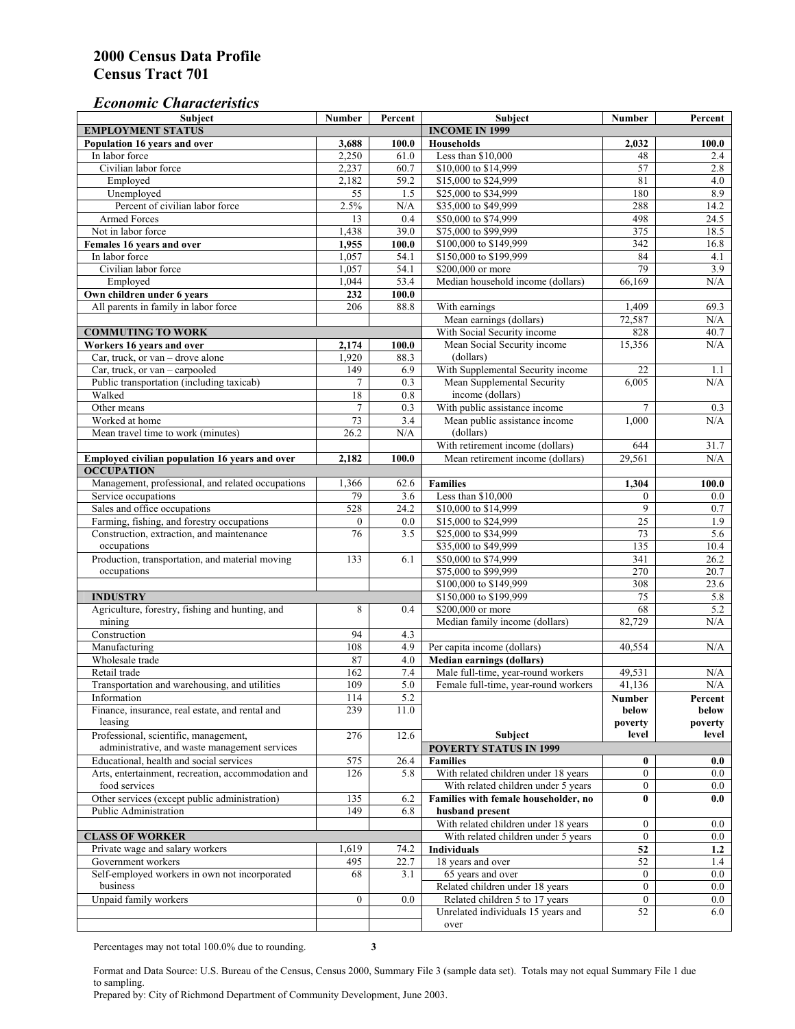#### *Economic Characteristics*

| <b>Subject</b>                                                     | Number           | Percent               | Subject                              | Number           | Percent    |
|--------------------------------------------------------------------|------------------|-----------------------|--------------------------------------|------------------|------------|
| <b>EMPLOYMENT STATUS</b>                                           |                  | <b>INCOME IN 1999</b> |                                      |                  |            |
| Population 16 years and over                                       | 3,688            | 100.0                 | Households                           | 2,032            | 100.0      |
| In labor force                                                     | 2,250            | 61.0                  | Less than \$10,000                   | 48               | 2.4        |
| Civilian labor force                                               | 2,237            | 60.7                  | \$10,000 to \$14,999                 | 57               | 2.8        |
| Employed                                                           | 2,182            | 59.2                  | \$15,000 to \$24,999                 | 81               | 4.0        |
| Unemployed                                                         | 55               | 1.5                   | \$25,000 to \$34,999                 | 180              | 8.9        |
| Percent of civilian labor force                                    | 2.5%             | N/A                   | \$35,000 to \$49,999                 | 288              | 14.2       |
| Armed Forces                                                       | 13               | 0.4                   | \$50,000 to \$74,999                 | 498              | 24.5       |
| Not in labor force                                                 | 1,438            | 39.0                  | \$75,000 to \$99,999                 | 375              | 18.5       |
| Females 16 years and over                                          | 1,955            | 100.0                 | \$100,000 to \$149,999               | 342              | 16.8       |
| In labor force                                                     | 1,057            | 54.1                  | \$150,000 to \$199,999               | 84               | 4.1        |
| Civilian labor force                                               | 1,057            | 54.1                  | \$200,000 or more                    | 79               | 3.9        |
| Employed                                                           | 1,044            | 53.4                  | Median household income (dollars)    | 66,169           | N/A        |
| Own children under 6 years                                         | 232              | 100.0                 |                                      |                  |            |
| All parents in family in labor force                               | 206              | 88.8                  | With earnings                        | 1,409            | 69.3       |
|                                                                    |                  |                       | Mean earnings (dollars)              |                  | N/A        |
|                                                                    |                  |                       |                                      | 72,587           |            |
| <b>COMMUTING TO WORK</b>                                           |                  |                       | With Social Security income          | 828              | 40.7       |
| Workers 16 years and over                                          | 2,174            | 100.0                 | Mean Social Security income          | 15,356           | N/A        |
| Car, truck, or van – drove alone                                   | 1,920            | 88.3                  | (dollars)                            |                  |            |
| Car, truck, or van - carpooled                                     | 149              | 6.9                   | With Supplemental Security income    | 22               | 1.1        |
| Public transportation (including taxicab)                          | $\overline{7}$   | 0.3                   | Mean Supplemental Security           | 6.005            | N/A        |
| Walked                                                             | 18               | 0.8                   | income (dollars)                     |                  |            |
| Other means                                                        | $\overline{7}$   | 0.3                   | With public assistance income        | $\tau$           | 0.3        |
| Worked at home                                                     | 73               | $\overline{3.4}$      | Mean public assistance income        | 1,000            | N/A        |
| Mean travel time to work (minutes)                                 | 26.2             | N/A                   | (dollars)                            |                  |            |
|                                                                    |                  |                       | With retirement income (dollars)     | 644              | 31.7       |
| Employed civilian population 16 years and over                     | 2,182            | 100.0                 | Mean retirement income (dollars)     | 29,561           | N/A        |
| <b>OCCUPATION</b>                                                  |                  |                       |                                      |                  |            |
| Management, professional, and related occupations                  | 1,366            | 62.6                  | <b>Families</b>                      | 1,304            | 100.0      |
| Service occupations                                                | 79               | 3.6                   | Less than \$10,000                   | $\mathbf{0}$     | $0.0\,$    |
| Sales and office occupations                                       | 528              | 24.2                  | \$10,000 to \$14,999                 | 9                | $0.7\,$    |
| Farming, fishing, and forestry occupations                         | $\boldsymbol{0}$ | 0.0                   | \$15,000 to \$24,999                 | 25               | 1.9        |
| Construction, extraction, and maintenance                          | 76               | 3.5                   | \$25,000 to \$34,999                 | 73               | 5.6        |
| occupations                                                        |                  |                       | \$35,000 to \$49,999                 | 135              | 10.4       |
| Production, transportation, and material moving                    | 133              | 6.1                   | \$50,000 to \$74,999                 | 341              | 26.2       |
| occupations                                                        |                  |                       | \$75,000 to \$99,999                 | 270              | 20.7       |
|                                                                    |                  |                       | \$100,000 to \$149,999               | 308              | 23.6       |
|                                                                    |                  |                       | \$150,000 to \$199,999               | 75               | 5.8        |
| <b>INDUSTRY</b><br>Agriculture, forestry, fishing and hunting, and | 8                |                       | \$200,000 or more                    | 68               | 5.2        |
|                                                                    |                  | 0.4                   |                                      |                  |            |
| mining                                                             |                  |                       | Median family income (dollars)       | 82,729           | N/A        |
| Construction                                                       | 94               | 4.3                   |                                      |                  |            |
| Manufacturing                                                      | 108              | 4.9                   | Per capita income (dollars)          | 40,554           | N/A        |
| Wholesale trade                                                    | 87               | 4.0                   | <b>Median earnings (dollars)</b>     |                  |            |
| Retail trade                                                       | 162              | $7.4\,$               | Male full-time, year-round workers   | 49,531           | N/A        |
| Transportation and warehousing, and utilities                      | 109              | 5.0                   | Female full-time, year-round workers | 41,136           | N/A        |
| Information                                                        | 114              | 5.2                   |                                      | Number           | Percent    |
| Finance, insurance, real estate, and rental and                    | 239              | 11.0                  |                                      | below            | below      |
| leasing                                                            |                  |                       |                                      | poverty          | poverty    |
| Professional, scientific, management,                              | 276              | 12.6                  | Subject                              | level            | level      |
| administrative, and waste management services                      |                  |                       | <b>POVERTY STATUS IN 1999</b>        |                  |            |
| Educational, health and social services                            | 575              | 26.4                  | <b>Families</b>                      | $\bf{0}$         | 0.0        |
| Arts, entertainment, recreation, accommodation and                 | 126              | 5.8                   | With related children under 18 years | $\overline{0}$   | $0.0\,$    |
| food services                                                      |                  |                       | With related children under 5 years  | $\mathbf{0}$     | 0.0        |
| Other services (except public administration)                      | 135              | 6.2                   | Families with female householder, no | $\bf{0}$         | 0.0        |
| Public Administration                                              | 149              | 6.8                   | husband present                      |                  |            |
|                                                                    |                  |                       | With related children under 18 years | $\overline{0}$   | $0.0\,$    |
| <b>CLASS OF WORKER</b>                                             |                  |                       | With related children under 5 years  | $\boldsymbol{0}$ | 0.0        |
| Private wage and salary workers                                    | 1,619            | 74.2                  | Individuals                          | 52               | 1.2        |
| Government workers                                                 | 495              |                       | 18 years and over                    |                  |            |
|                                                                    |                  | 22.7                  |                                      | 52               | 1.4<br>0.0 |
| Self-employed workers in own not incorporated<br>business          | 68               | 3.1                   | 65 years and over                    | $\mathbf{0}$     |            |
|                                                                    |                  |                       | Related children under 18 years      | $\overline{0}$   | $0.0\,$    |
| Unpaid family workers                                              | $\mathbf{0}$     | 0.0                   | Related children 5 to 17 years       | $\mathbf{0}$     | $0.0\,$    |
|                                                                    |                  |                       | Unrelated individuals 15 years and   | 52               | 6.0        |
|                                                                    |                  |                       | over                                 |                  |            |

Percentages may not total 100.0% due to rounding. **3** 

Format and Data Source: U.S. Bureau of the Census, Census 2000, Summary File 3 (sample data set). Totals may not equal Summary File 1 due to sampling.

Prepared by: City of Richmond Department of Community Development, June 2003.